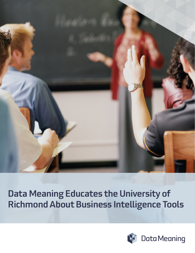

Data Meaning Educates the University of Richmond About Business Intelligence Tools

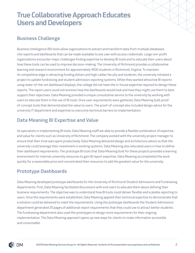## True Collaborative Approach Educates Users and Developers

#### Business Challenge

Business Intelligence (BI) tools allow organizations to extract and transform data from multiple databases into reports and dashboards that can be made available to any user with access credentials. Large non-profit organizations encounter major challenges finding expertise to develop BI tools and to educate their users about how these tools can be used to improve decision-making. The University of Richmond provides a collaborative learning and research environment for approximately 4500 students in Richmond, Virginia. To maintain its competitive edge in attracting funding dollars and high caliber faculty and students, the university initiated a project to update fundraising and student admission reporting systems. While they wanted attractive BI reports using state-of-the-art dashboard displays, the college did not have the in-house expertise required to design these reports. The report users could not envision how the dashboards would look and how they might use them to best support their objectives. Data Meaning provided a unique consultative service to the university by working with users to educate them in the use of BI tools. Once user requirements were gathered, Data Meaning built proofof-concept tools that demonstrated the value to users. The proof-of-concept also included design advice for the university IT department and expertise to overcome technical barriers to implementation.

### Data Meaning BI Expertise and Value

As specialists in implementing BI tools, Data Meaning staff are able to provide a flexible combination of expertise and value for clients such as University of Richmond. The company worked with the university project manager to ensure that their time was spent productively. Data Meaning delivered design and architecture advice so that the university could leverage their investment in existing systems. Data Meaning also educated users in how to define their dashboard requirements. The prototype BI tools that Data Meaning built for these projects provided a learning environment for internal university resources to gain BI report expertise. Data Meaning accomplished the work quickly for a reasonable price and concentrated their resources to add the greatest value for the university.

### Prototype Dashboards

Data Meaning developed prototype dashboards for the University of Richmond Student Admissions and Fundraising departments. First, Data Meaning facilitated discussions with end users to educate them about defining their business requirements. The objective was to understand how BI tools could deliver flexible and scalable reporting to users. Once the requirements were established, Data Meaning applied their technical expertise to demonstrate that a solution could be delivered to meet the requirements. Using the prototype dashboards the Student Admissions department generated 20 pages of additional report requirements that they could use to attract better students. The Fundraising department also used the prototypes to design more requirements for their ongoing implementation. The Data Meaning approach opens up new ways for clients to make information accessible and consumable.